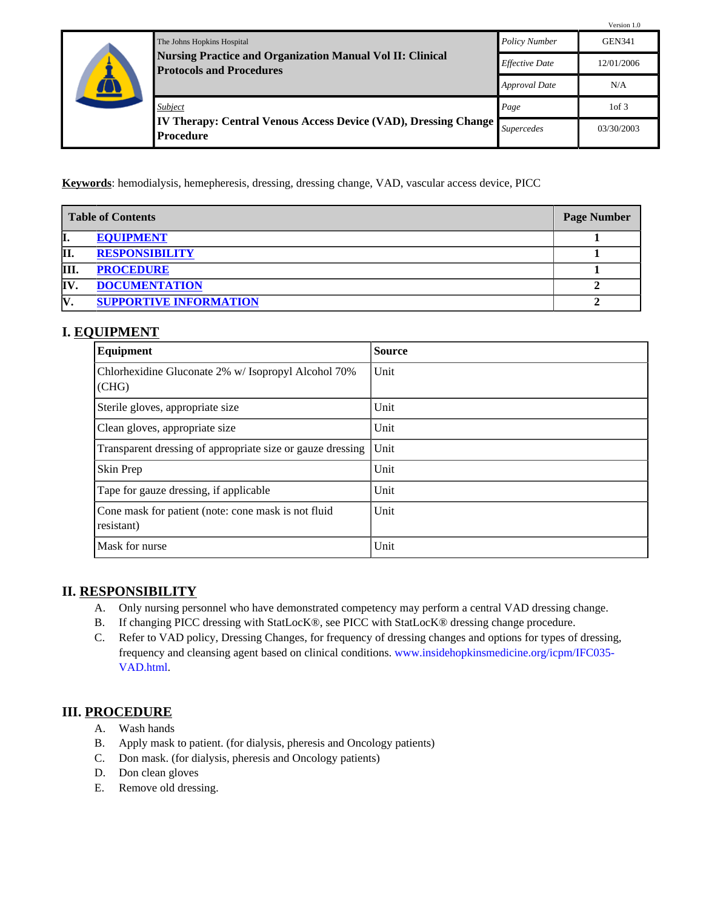|  |                                                                                                       |                       | Version 1.0       |
|--|-------------------------------------------------------------------------------------------------------|-----------------------|-------------------|
|  | The Johns Hopkins Hospital                                                                            | <b>Policy Number</b>  | <b>GEN341</b>     |
|  | <b>Nursing Practice and Organization Manual Vol II: Clinical</b><br><b>Protocols and Procedures</b>   | <b>Effective Date</b> | 12/01/2006        |
|  |                                                                                                       | <b>Approval Date</b>  | N/A               |
|  | Subject<br><b>IV Therapy: Central Venous Access Device (VAD), Dressing Change</b><br><b>Procedure</b> | Page                  | 1 <sub>of</sub> 3 |
|  |                                                                                                       | <i>Supercedes</i>     | 03/30/2003        |

**Keywords**: hemodialysis, hemepheresis, dressing, dressing change, VAD, vascular access device, PICC

| <b>Table of Contents</b> |                               | <b>Page Number</b> |
|--------------------------|-------------------------------|--------------------|
| I.                       | <b>EQUIPMENT</b>              |                    |
| II.                      | <b>RESPONSIBILITY</b>         |                    |
| Ш                        | <b>PROCEDURE</b>              |                    |
| <b>IV</b>                | <b>DOCUMENTATION</b>          |                    |
| IV.                      | <b>SUPPORTIVE INFORMATION</b> |                    |

# <span id="page-0-0"></span>**I. EQUIPMENT**

| Equipment                                                         | <b>Source</b> |
|-------------------------------------------------------------------|---------------|
| Chlorhexidine Gluconate 2% w/ Isopropyl Alcohol 70%<br>(CHG)      | Unit          |
| Sterile gloves, appropriate size                                  | Unit          |
| Clean gloves, appropriate size                                    | Unit          |
| Transparent dressing of appropriate size or gauze dressing        | Unit          |
| Skin Prep                                                         | Unit          |
| Tape for gauze dressing, if applicable                            | Unit          |
| Cone mask for patient (note: cone mask is not fluid<br>resistant) | Unit          |
| Mask for nurse                                                    | Unit          |

#### <span id="page-0-1"></span>**II. RESPONSIBILITY**

- A. Only nursing personnel who have demonstrated competency may perform a central VAD dressing change.
- B. If changing PICC dressing with StatLocK®, see PICC with StatLocK® dressing change procedure.
- C. Refer to VAD policy, Dressing Changes, for frequency of dressing changes and options for types of dressing, frequency and cleansing agent based on clinical conditions. [www.insidehopkinsmedicine.org/icpm/IFC035-](http://www.insidehopkinsmedicine.org/icpm/IFC035-VAD.html) [VAD.html](http://www.insidehopkinsmedicine.org/icpm/IFC035-VAD.html).

# <span id="page-0-2"></span>**III. PROCEDURE**

- A. Wash hands
- B. Apply mask to patient. (for dialysis, pheresis and Oncology patients)
- C. Don mask. (for dialysis, pheresis and Oncology patients)
- D. Don clean gloves
- E. Remove old dressing.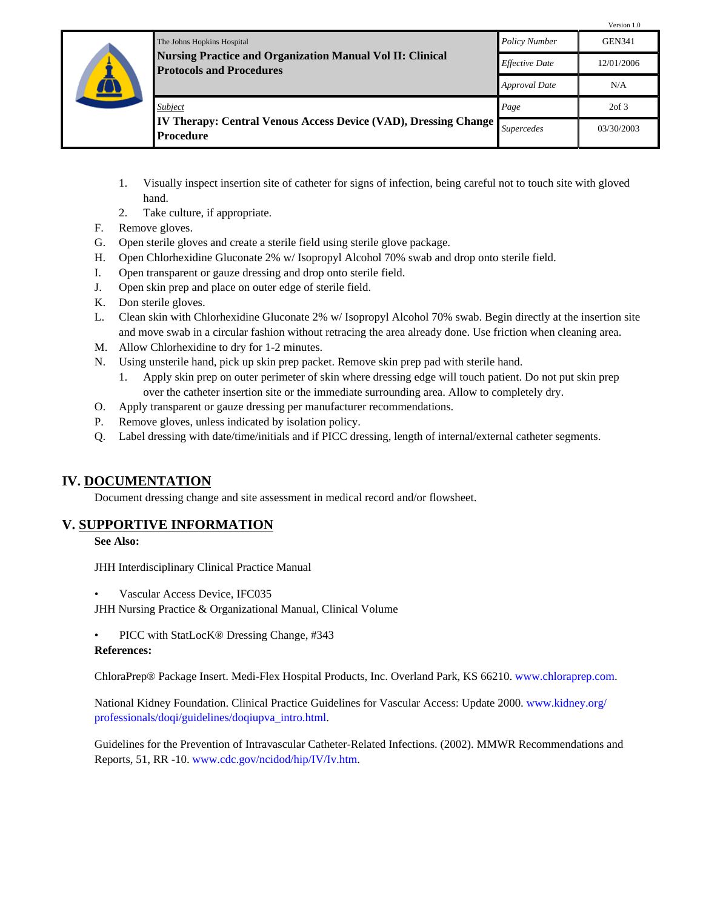|  | The Johns Hopkins Hospital<br><b>Nursing Practice and Organization Manual Vol II: Clinical</b><br><b>Protocols and Procedures</b> | <b>Policy Number</b>  | Version 1.0<br><b>GEN341</b> |
|--|-----------------------------------------------------------------------------------------------------------------------------------|-----------------------|------------------------------|
|  |                                                                                                                                   | <b>Effective Date</b> | 12/01/2006                   |
|  |                                                                                                                                   | Approval Date         | N/A                          |
|  | Subject<br><b>IV Therapy: Central Venous Access Device (VAD), Dressing Change</b><br><b>Procedure</b>                             | Page                  | $2$ of $3$                   |
|  |                                                                                                                                   | <i>Supercedes</i>     | 03/30/2003                   |

- 1. Visually inspect insertion site of catheter for signs of infection, being careful not to touch site with gloved hand.
- 2. Take culture, if appropriate.
- F. Remove gloves.
- G. Open sterile gloves and create a sterile field using sterile glove package.
- H. Open Chlorhexidine Gluconate 2% w/ Isopropyl Alcohol 70% swab and drop onto sterile field.
- I. Open transparent or gauze dressing and drop onto sterile field.
- J. Open skin prep and place on outer edge of sterile field.
- K. Don sterile gloves.
- L. Clean skin with Chlorhexidine Gluconate 2% w/ Isopropyl Alcohol 70% swab. Begin directly at the insertion site and move swab in a circular fashion without retracing the area already done. Use friction when cleaning area.
- M. Allow Chlorhexidine to dry for 1-2 minutes.
- N. Using unsterile hand, pick up skin prep packet. Remove skin prep pad with sterile hand.
	- 1. Apply skin prep on outer perimeter of skin where dressing edge will touch patient. Do not put skin prep over the catheter insertion site or the immediate surrounding area. Allow to completely dry.
- O. Apply transparent or gauze dressing per manufacturer recommendations.
- P. Remove gloves, unless indicated by isolation policy.
- Q. Label dressing with date/time/initials and if PICC dressing, length of internal/external catheter segments.

# <span id="page-1-0"></span>**IV. DOCUMENTATION**

Document dressing change and site assessment in medical record and/or flowsheet.

# <span id="page-1-1"></span>**V. SUPPORTIVE INFORMATION**

**See Also:**

JHH Interdisciplinary Clinical Practice Manual

• Vascular Access Device, IFC035

JHH Nursing Practice & Organizational Manual, Clinical Volume

• PICC with StatLocK® Dressing Change, #343

#### **References:**

ChloraPrep® Package Insert. Medi-Flex Hospital Products, Inc. Overland Park, KS 66210. [www.chloraprep.com](http://www.chloraprep.com).

National Kidney Foundation. Clinical Practice Guidelines for Vascular Access: Update 2000. [www.kidney.org/](http://www.kidney.org/professionals/doqi/guidelines/doqiupva_intro.html) [professionals/doqi/guidelines/doqiupva\\_intro.html](http://www.kidney.org/professionals/doqi/guidelines/doqiupva_intro.html).

Guidelines for the Prevention of Intravascular Catheter-Related Infections. (2002). MMWR Recommendations and Reports, 51, RR -10. [www.cdc.gov/ncidod/hip/IV/Iv.htm](http://www.cdc.gov/ncidod/hip/IV/Iv.htm).